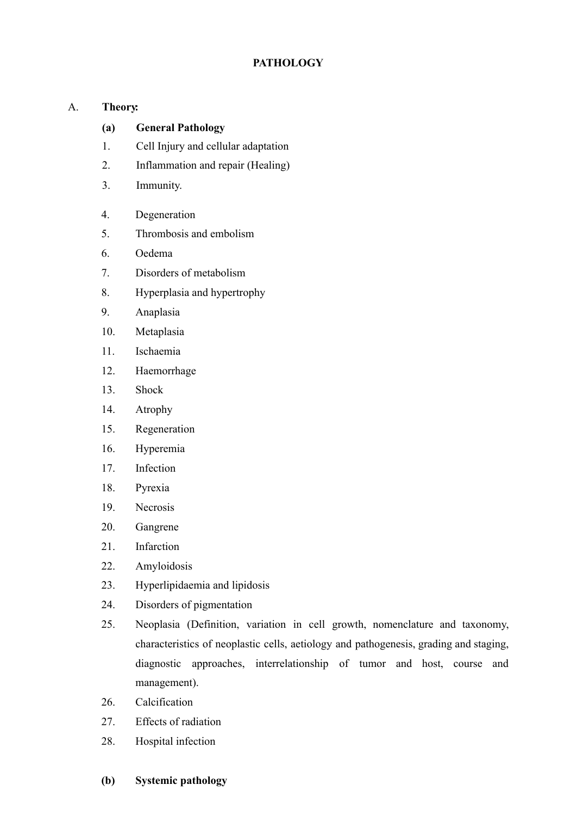# **PATHOLOGY**

## A. **Theory :**

#### **(a) General Pathology**

- 1. Cell Injury and cellular adaptation
- 2. Inflammation and repair (Healing)
- 3. Immunity.
- 4. Degeneration
- 5. Thrombosis and embolism
- 6. Oedema
- 7. Disorders of metabolism
- 8. Hyperplasia and hypertrophy
- 9. Anaplasia
- 10. Metaplasia
- 11. Ischaemia
- 12. Haemorrhage
- 13. Shock
- 14. Atrophy
- 15. Regeneration
- 16. Hyperemia
- 17. Infection
- 18. Pyrexia
- 19. Necrosis
- 20. Gangrene
- 21. Infarction
- 22. Amyloidosis
- 23. Hyperlipidaemia and lipidosis
- 24. Disorders of pigmentation
- 25. Neoplasia (Definition, variation in cell growth, nomenclature and taxonomy, characteristics of neoplastic cells, aetiology and pathogenesis, grading and staging, diagnostic approaches, interrelationship of tumor and host, course and management).
- 26. Calcification
- 27. Effects of radiation
- 28. Hospital infection
- **(b) Systemic pathology**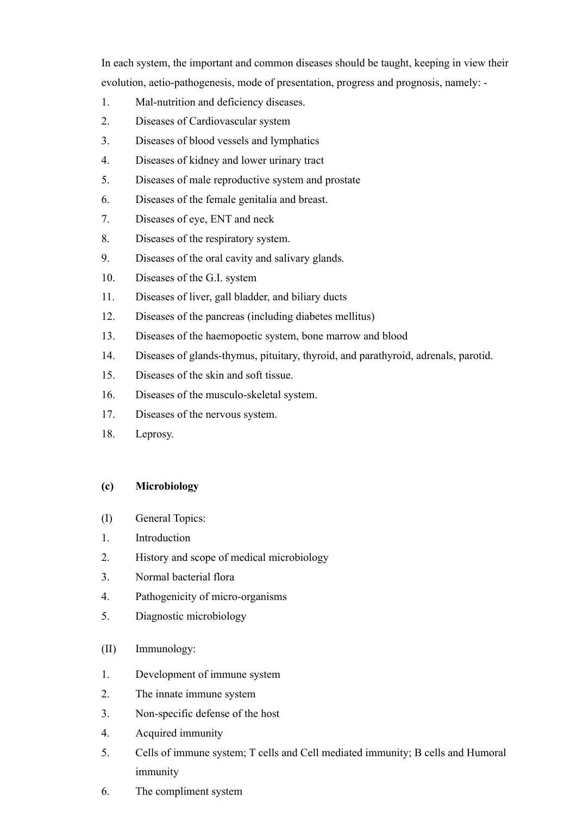In each system, the important and common diseases should be taught, keeping in view their evolution, aetio-pathogenesis, mode of presentation, progress and prognosis, namely: -

- 1. Mal-nutrition and deficiency diseases.
- 2. Diseases of Cardiovascular system
- 3. Diseases of blood vessels and lymphatics
- 4. Diseases of kidney and lower urinary tract
- 5. Diseases of male reproductive system and prostate
- 6. Diseases of the female genitalia and breast.
- 7. Diseases of eye, ENT and neck
- 8. Diseases of the respiratory system.
- 9. Diseases of the oral cavity and salivary glands.
- 10. Diseases of the G.I. system
- 11. Diseases of liver, gall bladder, and biliary ducts
- 12. Diseases of the pancreas (including diabetes mellitus)
- 13. Diseases of the haemopoetic system, bone marrow and blood
- 14. Diseases of glands-thymus, pituitary, thyroid, and parathyroid, adrenals, parotid.
- 15. Diseases of the skin and soft tissue.
- 16. Diseases of the musculo-skeletal system.
- 17. Diseases of the nervous system.
- 18. Leprosy.

## **(c) Microbiology**

- (I) General Topics:
- 1. Introduction
- 2. History and scope of medical microbiology
- 3. Normal bacterial flora
- 4. Pathogenicity of micro-organisms
- 5. Diagnostic microbiology
- (II) Immunology:
- 1. Development of immune system
- 2. The innate immune system
- 3. Non-specific defense of the host
- 4. Acquired immunity
- 5. Cells of immune system; T cells and Cell mediated immunity; B cells and Humoral immunity
- 6. The compliment system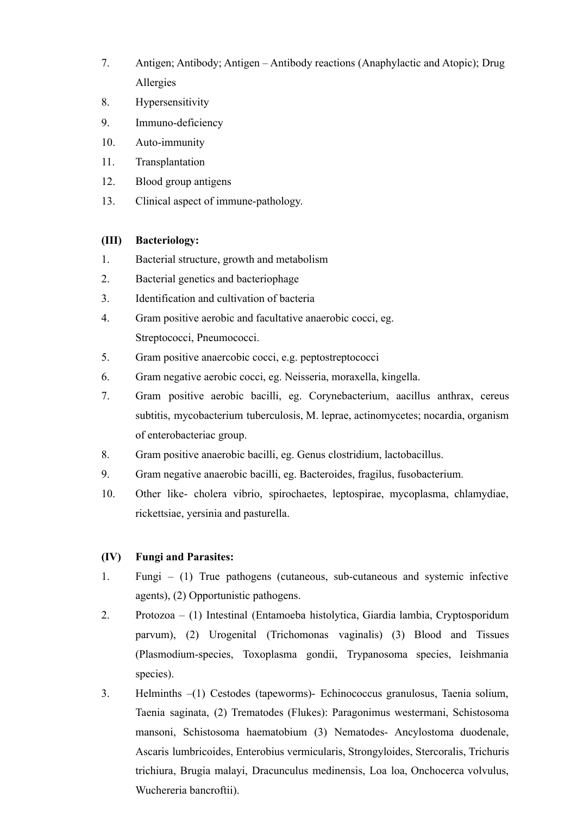- 7. Antigen; Antibody; Antigen Antibody reactions (Anaphylactic and Atopic); Drug Allergies
- 8. Hypersensitivity
- 9. Immuno-deficiency
- 10. Auto-immunity
- 11. Transplantation
- 12. Blood group antigens
- 13. Clinical aspect of immune-pathology.

#### **(III) Bacteriology:**

- 1. Bacterial structure, growth and metabolism
- 2. Bacterial genetics and bacteriophage
- 3. Identification and cultivation of bacteria
- 4. Gram positive aerobic and facultative anaerobic cocci, eg. Streptococci, Pneumococci.
- 5. Gram positive anaercobic cocci, e.g. peptostreptococci
- 6. Gram negative aerobic cocci, eg. Neisseria, moraxella, kingella.
- 7. Gram positive aerobic bacilli, eg. Corynebacterium, aacillus anthrax, cereus subtitis, mycobacterium tuberculosis, M. leprae, actinomycetes; nocardia, organism of enterobacteriac group.
- 8. Gram positive anaerobic bacilli, eg. Genus clostridium, lactobacillus.
- 9. Gram negative anaerobic bacilli, eg. Bacteroides, fragilus, fusobacterium.
- 10. Other like- cholera vibrio, spirochaetes, leptospirae, mycoplasma, chlamydiae, rickettsiae, yersinia and pasturella.

#### **(IV) Fungi and Parasites:**

- 1. Fungi (1) True pathogens (cutaneous, sub-cutaneous and systemic infective agents), (2) Opportunistic pathogens.
- 2. Protozoa (1) Intestinal (Entamoeba histolytica, Giardia lambia, Cryptosporidum parvum), (2) Urogenital (Trichomonas vaginalis) (3) Blood and Tissues (Plasmodium-species, Toxoplasma gondii, Trypanosoma species, Ieishmania species).
- 3. Helminths –(1) Cestodes (tapeworms)- Echinococcus granulosus, Taenia solium, Taenia saginata, (2) Trematodes (Flukes): Paragonimus westermani, Schistosoma mansoni, Schistosoma haematobium (3) Nematodes- Ancylostoma duodenale, Ascaris lumbricoides, Enterobius vermicularis, Strongyloides, Stercoralis, Trichuris trichiura, Brugia malayi, Dracunculus medinensis, Loa loa, Onchocerca volvulus, Wuchereria bancroftii).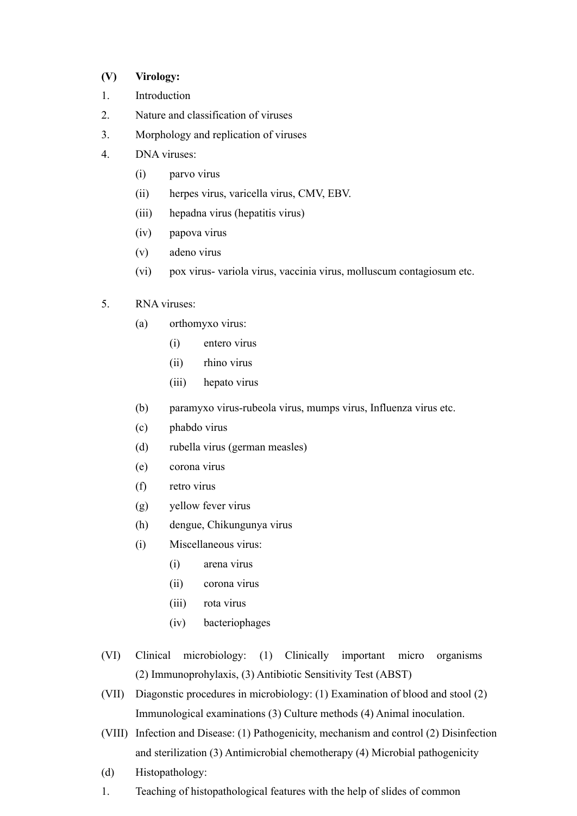### **(V) Virology:**

- 1. Introduction
- 2. Nature and classification of viruses
- 3. Morphology and replication of viruses
- 4. DNA viruses:
	- (i) parvo virus
	- (ii) herpes virus, varicella virus, CMV, EBV.
	- (iii) hepadna virus (hepatitis virus)
	- (iv) papova virus
	- (v) adeno virus
	- (vi) pox virus- variola virus, vaccinia virus, molluscum contagiosum etc.

## 5. RNA viruses:

- (a) orthomyxo virus:
	- (i) entero virus
	- (ii) rhino virus
	- (iii) hepato virus
- (b) paramyxo virus-rubeola virus, mumps virus, Influenza virus etc.
- (c) phabdo virus
- (d) rubella virus (german measles)
- (e) corona virus
- (f) retro virus
- (g) yellow fever virus
- (h) dengue, Chikungunya virus
- (i) Miscellaneous virus:
	- (i) arena virus
	- (ii) corona virus
	- (iii) rota virus
	- (iv) bacteriophages
- (VI) Clinical microbiology: (1) Clinically important micro organisms (2) Immunoprohylaxis, (3) Antibiotic Sensitivity Test (ABST)
- (VII) Diagonstic procedures in microbiology: (1) Examination of blood and stool (2) Immunological examinations (3) Culture methods (4) Animal inoculation.
- (VIII) Infection and Disease: (1) Pathogenicity, mechanism and control (2) Disinfection and sterilization (3) Antimicrobial chemotherapy (4) Microbial pathogenicity
- (d) Histopathology:
- 1. Teaching of histopathological features with the help of slides of common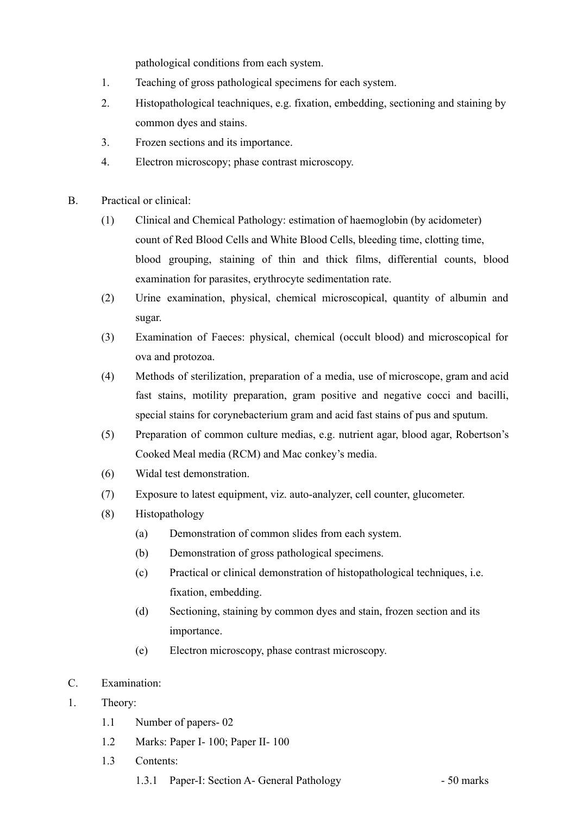pathological conditions from each system.

- 1. Teaching of gross pathological specimens for each system.
- 2. Histopathological teachniques, e.g. fixation, embedding, sectioning and staining by common dyes and stains.
- 3. Frozen sections and its importance.
- 4. Electron microscopy; phase contrast microscopy.
- B. Practical or clinical:
	- (1) Clinical and Chemical Pathology: estimation of haemoglobin (by acidometer) count of Red Blood Cells and White Blood Cells, bleeding time, clotting time, blood grouping, staining of thin and thick films, differential counts, blood examination for parasites, erythrocyte sedimentation rate.
	- (2) Urine examination, physical, chemical microscopical, quantity of albumin and sugar.
	- (3) Examination of Faeces: physical, chemical (occult blood) and microscopical for ova and protozoa.
	- (4) Methods of sterilization, preparation of a media, use of microscope, gram and acid fast stains, motility preparation, gram positive and negative cocci and bacilli, special stains for corynebacterium gram and acid fast stains of pus and sputum.
	- (5) Preparation of common culture medias, e.g. nutrient agar, blood agar, Robertson's Cooked Meal media (RCM) and Mac conkey's media.
	- (6) Widal test demonstration.
	- (7) Exposure to latest equipment, viz. auto-analyzer, cell counter, glucometer.
	- (8) Histopathology
		- (a) Demonstration of common slides from each system.
		- (b) Demonstration of gross pathological specimens.
		- (c) Practical or clinical demonstration of histopathological techniques, i.e. fixation, embedding.
		- (d) Sectioning, staining by common dyes and stain, frozen section and its importance.
		- (e) Electron microscopy, phase contrast microscopy.
- C. Examination:
- 1. Theory:
	- 1.1 Number of papers- 02
	- 1.2 Marks: Paper I- 100; Paper II- 100
	- 1.3 Contents:
		- 1.3.1 Paper-I: Section A- General Pathology 50 marks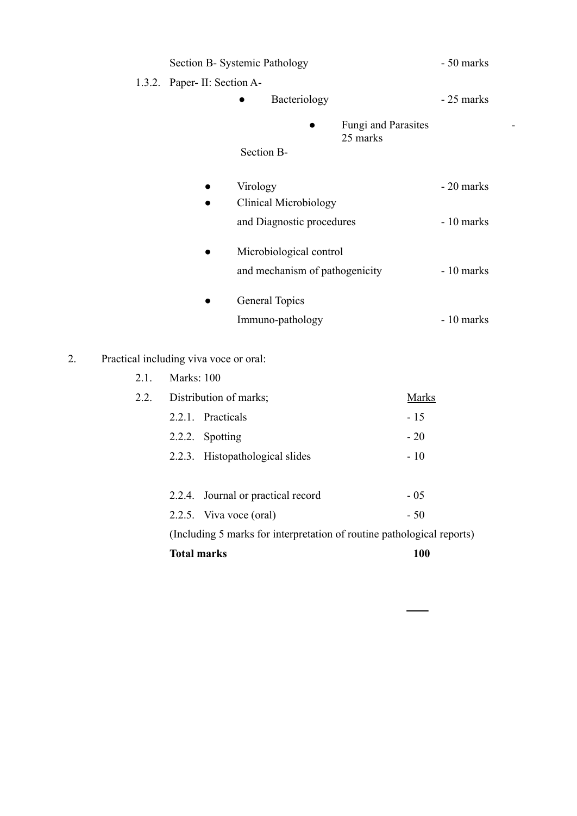| Section B- Systemic Pathology |                                                           | - 50 marks                      |             |
|-------------------------------|-----------------------------------------------------------|---------------------------------|-------------|
| 1.3.2. Paper- II: Section A-  |                                                           |                                 |             |
|                               | Bacteriology                                              |                                 | - 25 marks  |
|                               | Section B-                                                | Fungi and Parasites<br>25 marks |             |
|                               | Virology<br>Clinical Microbiology                         |                                 | - 20 marks  |
|                               | and Diagnostic procedures                                 |                                 | - 10 marks  |
|                               | Microbiological control<br>and mechanism of pathogenicity |                                 | $-10$ marks |
|                               | General Topics<br>Immuno-pathology                        |                                 | - 10 marks  |

2. Practical including viva voce or oral:

| 2.1. | <b>Marks: 100</b>                                                      |                                    |              |
|------|------------------------------------------------------------------------|------------------------------------|--------------|
| 2.2. | Distribution of marks;                                                 |                                    | <b>Marks</b> |
|      |                                                                        | 2.2.1. Practicals                  | $-15$        |
|      |                                                                        | 2.2.2. Spotting                    | $-20$        |
|      |                                                                        | 2.2.3. Histopathological slides    | $-10$        |
|      |                                                                        |                                    |              |
|      |                                                                        | 2.2.4. Journal or practical record | $-05$        |
|      |                                                                        | 2.2.5. Viva voce (oral)            | $-50$        |
|      | (Including 5 marks for interpretation of routine pathological reports) |                                    |              |
|      | <b>Total marks</b>                                                     |                                    | <b>100</b>   |
|      |                                                                        |                                    |              |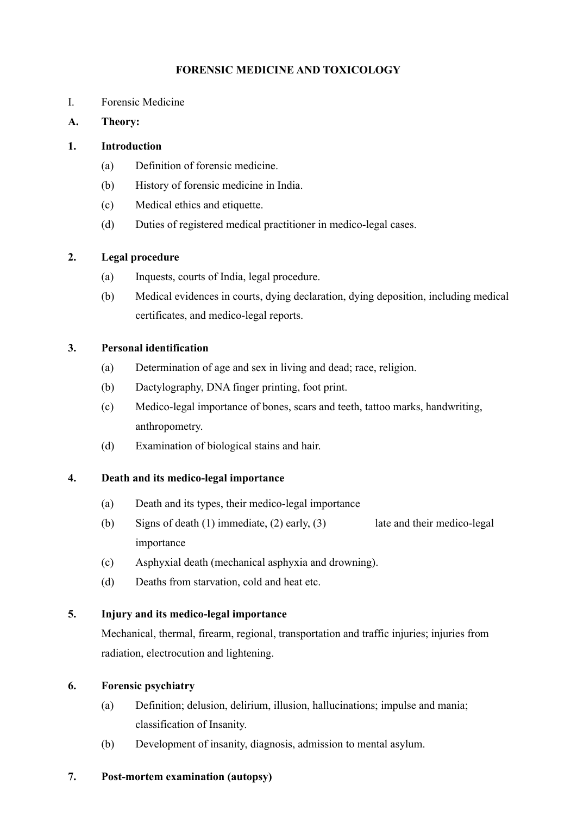## **FORENSIC MEDICINE AND TOXICOLOGY**

- I. Forensic Medicine
- **A. Theory:**

## **1. Introduction**

- (a) Definition of forensic medicine.
- (b) History of forensic medicine in India.
- (c) Medical ethics and etiquette.
- (d) Duties of registered medical practitioner in medico-legal cases.

## **2. Legal procedure**

- (a) Inquests, courts of India, legal procedure.
- (b) Medical evidences in courts, dying declaration, dying deposition, including medical certificates, and medico-legal reports.

## **3. Personal identification**

- (a) Determination of age and sex in living and dead; race, religion.
- (b) Dactylography, DNA finger printing, foot print.
- (c) Medico-legal importance of bones, scars and teeth, tattoo marks, handwriting, anthropometry.
- (d) Examination of biological stains and hair.

## **4. Death and its medico-legal importance**

- (a) Death and its types, their medico-legal importance
- (b) Signs of death (1) immediate, (2) early, (3) late and their medico-legal importance
- (c) Asphyxial death (mechanical asphyxia and drowning).
- (d) Deaths from starvation, cold and heat etc.

## **5. Injury and its medico-legal importance**

Mechanical, thermal, firearm, regional, transportation and traffic injuries; injuries from radiation, electrocution and lightening.

#### **6. Forensic psychiatry**

- (a) Definition; delusion, delirium, illusion, hallucinations; impulse and mania; classification of Insanity.
- (b) Development of insanity, diagnosis, admission to mental asylum.

#### **7. Post-mortem examination (autopsy)**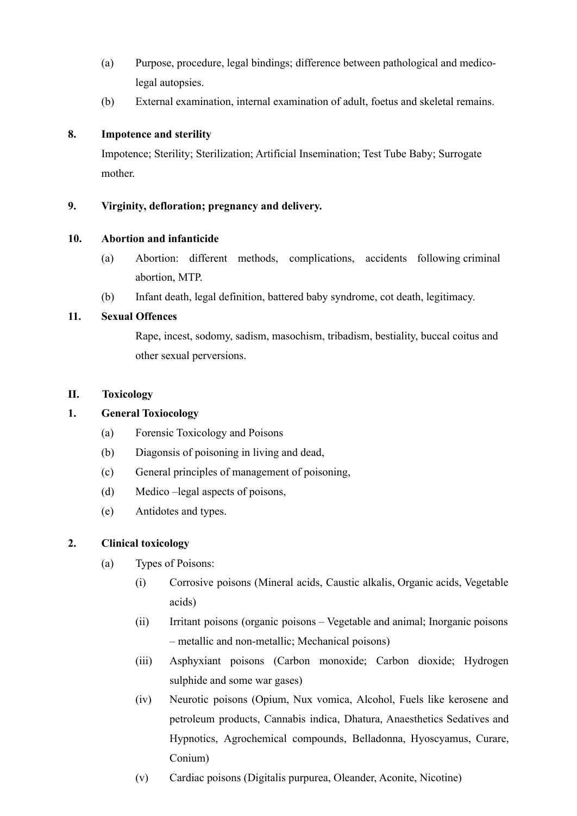- (a) Purpose, procedure, legal bindings; difference between pathological and medicolegal autopsies.
- (b) External examination, internal examination of adult, foetus and skeletal remains.

## **8. Impotence and sterility**

Impotence; Sterility; Sterilization; Artificial Insemination; Test Tube Baby; Surrogate mother.

## **9. Virginity, defloration; pregnancy and delivery.**

#### **10. Abortion and infanticide**

- (a) Abortion: different methods, complications, accidents following criminal abortion, MTP.
- (b) Infant death, legal definition, battered baby syndrome, cot death, legitimacy.

## **11. Sexual Offences**

Rape, incest, sodomy, sadism, masochism, tribadism, bestiality, buccal coitus and other sexual perversions.

## **II. Toxicology**

## **1. General Toxiocology**

- (a) Forensic Toxicology and Poisons
- (b) Diagonsis of poisoning in living and dead,
- (c) General principles of management of poisoning,
- (d) Medico –legal aspects of poisons,
- (e) Antidotes and types.

## **2. Clinical toxicology**

- (a) Types of Poisons:
	- (i) Corrosive poisons (Mineral acids, Caustic alkalis, Organic acids, Vegetable acids)
	- (ii) Irritant poisons (organic poisons Vegetable and animal; Inorganic poisons – metallic and non-metallic; Mechanical poisons)
	- (iii) Asphyxiant poisons (Carbon monoxide; Carbon dioxide; Hydrogen sulphide and some war gases)
	- (iv) Neurotic poisons (Opium, Nux vomica, Alcohol, Fuels like kerosene and petroleum products, Cannabis indica, Dhatura, Anaesthetics Sedatives and Hypnotics, Agrochemical compounds, Belladonna, Hyoscyamus, Curare, Conium)
	- (v) Cardiac poisons (Digitalis purpurea, Oleander, Aconite, Nicotine)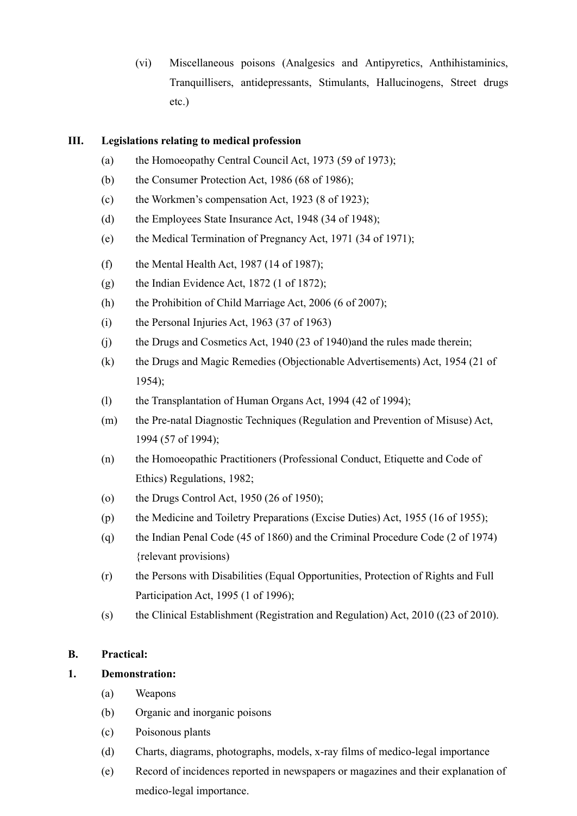(vi) Miscellaneous poisons (Analgesics and Antipyretics, Anthihistaminics, Tranquillisers, antidepressants, Stimulants, Hallucinogens, Street drugs etc.)

## **III. Legislations relating to medical profession**

- (a) the Homoeopathy Central Council Act, 1973 (59 of 1973);
- (b) the Consumer Protection Act, 1986 (68 of 1986);
- (c) the Workmen's compensation Act, 1923 (8 of 1923);
- (d) the Employees State Insurance Act, 1948 (34 of 1948);
- (e) the Medical Termination of Pregnancy Act, 1971 (34 of 1971);
- (f) the Mental Health Act, 1987 (14 of 1987);
- (g) the Indian Evidence Act,  $1872$  (1 of 1872);
- (h) the Prohibition of Child Marriage Act, 2006 (6 of 2007);
- (i) the Personal Injuries Act, 1963 (37 of 1963)
- (j) the Drugs and Cosmetics Act, 1940 (23 of 1940)and the rules made therein;
- (k) the Drugs and Magic Remedies (Objectionable Advertisements) Act, 1954 (21 of 1954);
- (l) the Transplantation of Human Organs Act, 1994 (42 of 1994);
- (m) the Pre-natal Diagnostic Techniques (Regulation and Prevention of Misuse) Act, 1994 (57 of 1994);
- (n) the Homoeopathic Practitioners (Professional Conduct, Etiquette and Code of Ethics) Regulations, 1982;
- (o) the Drugs Control Act, 1950 (26 of 1950);
- (p) the Medicine and Toiletry Preparations (Excise Duties) Act, 1955 (16 of 1955);
- (q) the Indian Penal Code (45 of 1860) and the Criminal Procedure Code (2 of 1974) {relevant provisions)
- (r) the Persons with Disabilities (Equal Opportunities, Protection of Rights and Full Participation Act, 1995 (1 of 1996);
- (s) the Clinical Establishment (Registration and Regulation) Act, 2010 ((23 of 2010).

#### **B. Practical:**

## **1. Demonstration:**

- (a) Weapons
- (b) Organic and inorganic poisons
- (c) Poisonous plants
- (d) Charts, diagrams, photographs, models, x-ray films of medico-legal importance
- (e) Record of incidences reported in newspapers or magazines and their explanation of medico-legal importance.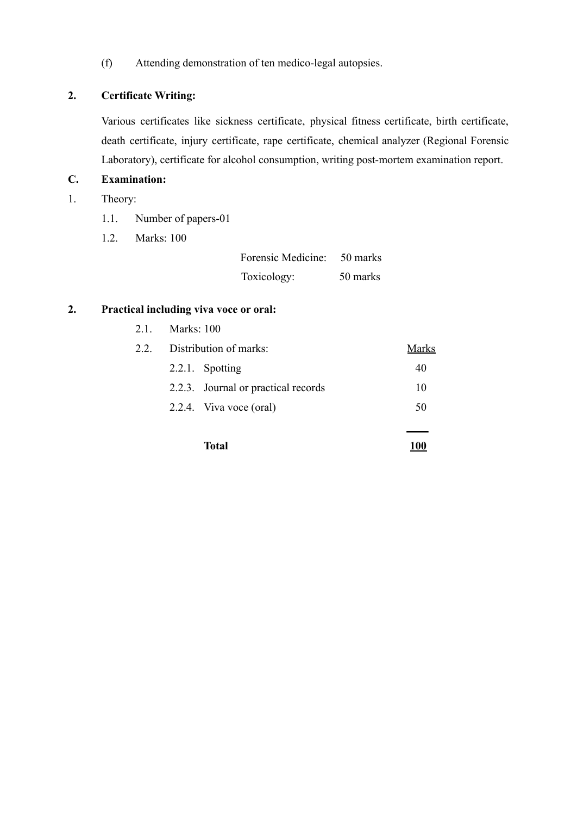(f) Attending demonstration of ten medico-legal autopsies.

# **2. Certificate Writing:**

Various certificates like sickness certificate, physical fitness certificate, birth certificate, death certificate, injury certificate, rape certificate, chemical analyzer (Regional Forensic Laboratory), certificate for alcohol consumption, writing post-mortem examination report.

# **C. Examination:**

- 1. Theory:
	- 1.1. Number of papers-01
	- 1.2. Marks: 100

| Forensic Medicine: | 50 marks |
|--------------------|----------|
| Toxicology:        | 50 marks |

## **2. Practical including viva voce or oral:**

|     |                        | Total                               | 100   |
|-----|------------------------|-------------------------------------|-------|
|     |                        | 2.2.4. Viva voce (oral)             | 50    |
|     |                        | 2.2.3. Journal or practical records | 10    |
|     |                        | 2.2.1. Spotting                     | 40    |
| 22  | Distribution of marks: |                                     | Marks |
| 2.1 | Marks: 100             |                                     |       |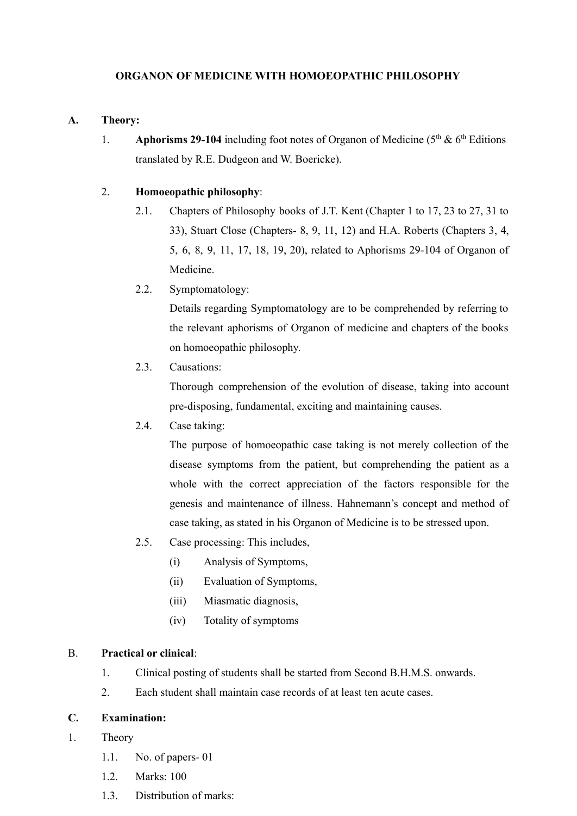## **ORGANON OF MEDICINE WITH HOMOEOPATHIC PHILOSOPHY**

#### **A. Theory:**

1. **Aphorisms 29-104** including foot notes of Organon of Medicine (5<sup>th</sup> & 6<sup>th</sup> Editions translated by R.E. Dudgeon and W. Boericke).

#### 2. **Homoeopathic philosophy**:

- 2.1. Chapters of Philosophy books of J.T. Kent (Chapter 1 to 17, 23 to 27, 31 to 33), Stuart Close (Chapters- 8, 9, 11, 12) and H.A. Roberts (Chapters 3, 4, 5, 6, 8, 9, 11, 17, 18, 19, 20), related to Aphorisms 29-104 of Organon of Medicine.
- 2.2. Symptomatology:

Details regarding Symptomatology are to be comprehended by referring to the relevant aphorisms of Organon of medicine and chapters of the books on homoeopathic philosophy.

2.3. Causations:

Thorough comprehension of the evolution of disease, taking into account pre-disposing, fundamental, exciting and maintaining causes.

2.4. Case taking:

The purpose of homoeopathic case taking is not merely collection of the disease symptoms from the patient, but comprehending the patient as a whole with the correct appreciation of the factors responsible for the genesis and maintenance of illness. Hahnemann's concept and method of case taking, as stated in his Organon of Medicine is to be stressed upon.

- 2.5. Case processing: This includes,
	- (i) Analysis of Symptoms,
	- (ii) Evaluation of Symptoms,
	- (iii) Miasmatic diagnosis,
	- (iv) Totality of symptoms

#### B. **Practical or clinical**:

- 1. Clinical posting of students shall be started from Second B.H.M.S. onwards.
- 2. Each student shall maintain case records of at least ten acute cases.

## **C. Examination:**

- 1. Theory
	- 1.1. No. of papers- 01
	- 1.2. Marks: 100
	- 1.3. Distribution of marks: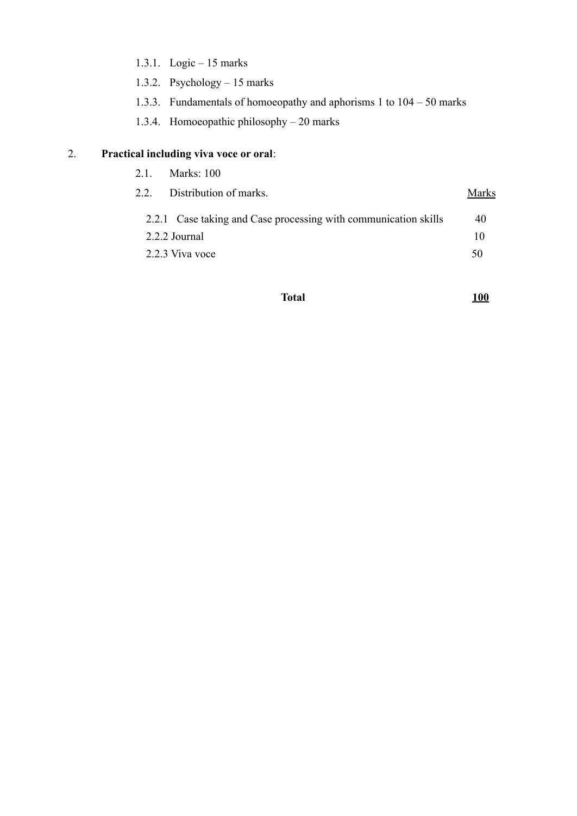- 1.3.1. Logic 15 marks
- 1.3.2. Psychology 15 marks
- 1.3.3. Fundamentals of homoeopathy and aphorisms 1 to 104 50 marks
- 1.3.4. Homoeopathic philosophy 20 marks

# 2. **Practical including viva voce or oral**:

| 2.1. Marks: 100                                                 |       |
|-----------------------------------------------------------------|-------|
| 2.2. Distribution of marks.                                     | Marks |
| 2.2.1 Case taking and Case processing with communication skills | 40    |
| 2.2.2 Journal                                                   | 10    |
| 2.2.3 Viva voce                                                 | 50    |
|                                                                 |       |

# **Total 100**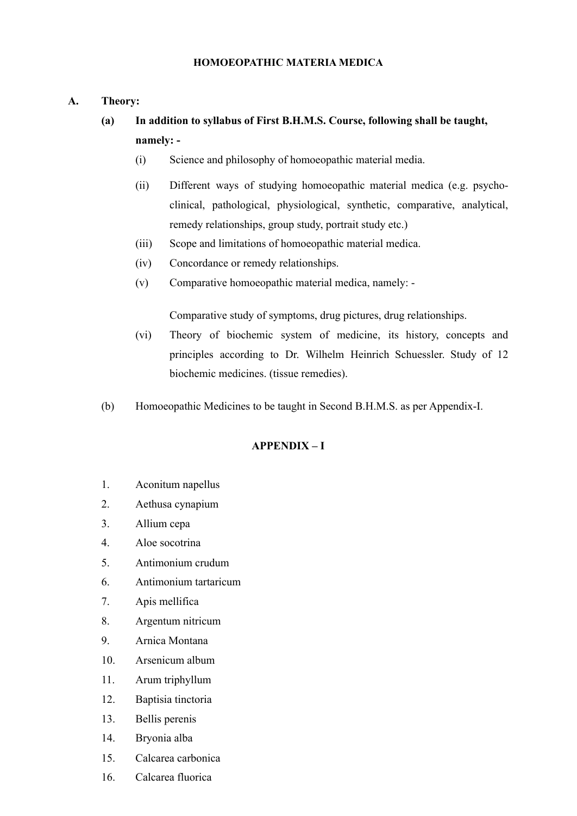#### **HOMOEOPATHIC MATERIA MEDICA**

- **A. Theory:**
	- **(a) In addition to syllabus of First B.H.M.S. Course, following shall be taught, namely: -**
		- (i) Science and philosophy of homoeopathic material media.
		- (ii) Different ways of studying homoeopathic material medica (e.g. psychoclinical, pathological, physiological, synthetic, comparative, analytical, remedy relationships, group study, portrait study etc.)
		- (iii) Scope and limitations of homoeopathic material medica.
		- (iv) Concordance or remedy relationships.
		- (v) Comparative homoeopathic material medica, namely: -

Comparative study of symptoms, drug pictures, drug relationships.

- (vi) Theory of biochemic system of medicine, its history, concepts and principles according to Dr. Wilhelm Heinrich Schuessler. Study of 12 biochemic medicines. (tissue remedies).
- (b) Homoeopathic Medicines to be taught in Second B.H.M.S. as per Appendix-I.

## **APPENDIX – I**

- 1. Aconitum napellus
- 2. Aethusa cynapium
- 3. Allium cepa
- 4. Aloe socotrina
- 5. Antimonium crudum
- 6. Antimonium tartaricum
- 7. Apis mellifica
- 8. Argentum nitricum
- 9. Arnica Montana
- 10. Arsenicum album
- 11. Arum triphyllum
- 12. Baptisia tinctoria
- 13. Bellis perenis
- 14. Bryonia alba
- 15. Calcarea carbonica
- 16. Calcarea fluorica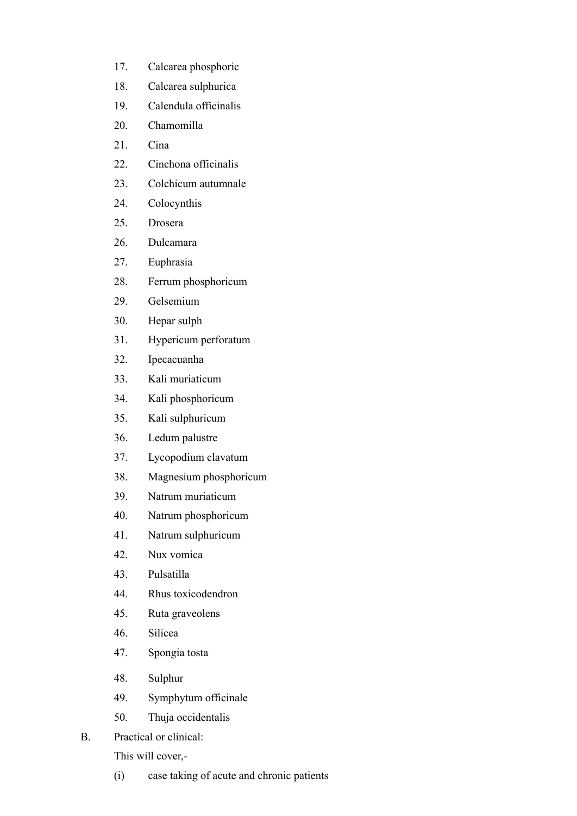- 17. Calcarea phosphoric
- 18. Calcarea sulphurica
- 19. Calendula officinalis
- 20. Chamomilla
- 21 Cina
- 22. Cinchona officinalis
- 23. Colchicum autumnale
- 24. Colocynthis
- 25. Drosera
- 26. Dulcamara
- 27. Euphrasia
- 28. Ferrum phosphoricum
- 29. Gelsemium
- 30. Hepar sulph
- 31. Hypericum perforatum
- 32. Ipecacuanha
- 33. Kali muriaticum
- 34. Kali phosphoricum
- 35. Kali sulphuricum
- 36. Ledum palustre
- 37. Lycopodium clavatum
- 38. Magnesium phosphoricum
- 39. Natrum muriaticum
- 40. Natrum phosphoricum
- 41. Natrum sulphuricum
- 42. Nux vomica
- 43. Pulsatilla
- 44. Rhus toxicodendron
- 45. Ruta graveolens
- 46. Silicea
- 47. Spongia tosta
- 48. Sulphur
- 49. Symphytum officinale
- 50. Thuja occidentalis
- B. Practical or clinical:

This will cover,-

(i) case taking of acute and chronic patients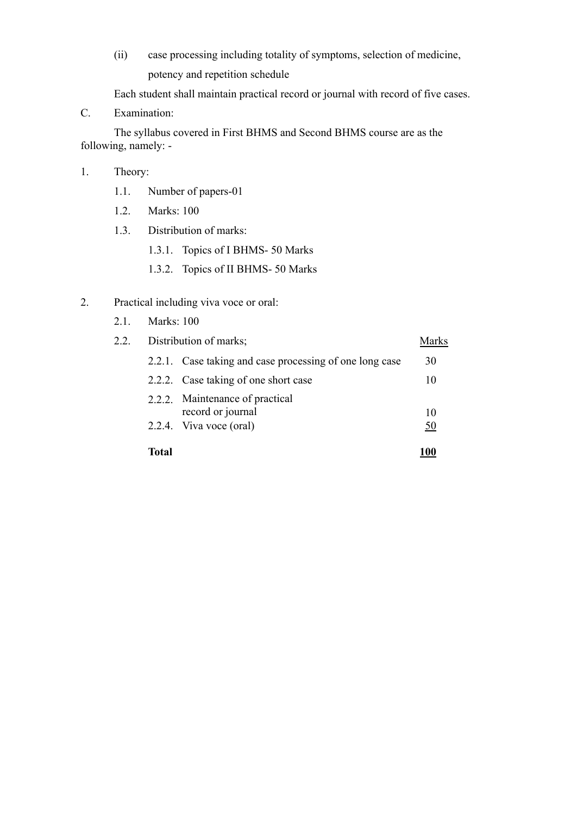(ii) case processing including totality of symptoms, selection of medicine, potency and repetition schedule

Each student shall maintain practical record or journal with record of five cases.

C. Examination:

The syllabus covered in First BHMS and Second BHMS course are as the following, namely: -

#### 1. Theory:

- 1.1. Number of papers-01
- 1.2. Marks: 100
- 1.3. Distribution of marks:
	- 1.3.1. Topics of I BHMS- 50 Marks
	- 1.3.2. Topics of II BHMS- 50 Marks
- 2. Practical including viva voce or oral:
	- 2.1. Marks: 100

| 2.2. | Distribution of marks; |                                                         | Marks |
|------|------------------------|---------------------------------------------------------|-------|
|      |                        | 2.2.1. Case taking and case processing of one long case | 30    |
|      |                        | 2.2.2. Case taking of one short case                    | 10    |
|      |                        | 2.2.2. Maintenance of practical<br>record or journal    | 10    |
|      |                        | 2.2.4. Viva voce (oral)                                 | 50    |
|      | Total                  |                                                         |       |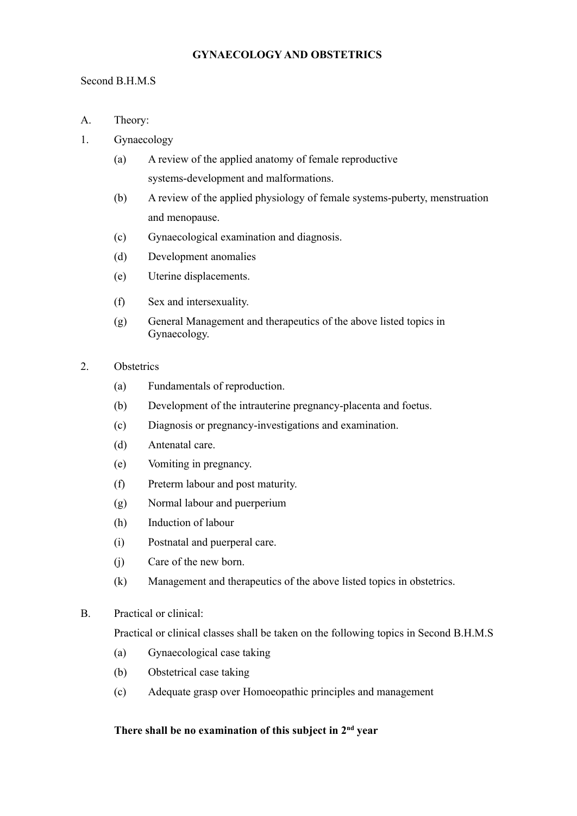## **GYNAECOLOGY AND OBSTETRICS**

#### Second B.H.M.S

- A. Theory:
- 1. Gynaecology
	- (a) A review of the applied anatomy of female reproductive systems-development and malformations.
	- (b) A review of the applied physiology of female systems-puberty, menstruation and menopause.
	- (c) Gynaecological examination and diagnosis.
	- (d) Development anomalies
	- (e) Uterine displacements.
	- (f) Sex and intersexuality.
	- (g) General Management and therapeutics of the above listed topics in Gynaecology.
- 2. Obstetrics
	- (a) Fundamentals of reproduction.
	- (b) Development of the intrauterine pregnancy-placenta and foetus.
	- (c) Diagnosis or pregnancy-investigations and examination.
	- (d) Antenatal care.
	- (e) Vomiting in pregnancy.
	- (f) Preterm labour and post maturity.
	- (g) Normal labour and puerperium
	- (h) Induction of labour
	- (i) Postnatal and puerperal care.
	- (j) Care of the new born.
	- (k) Management and therapeutics of the above listed topics in obstetrics.
- B. Practical or clinical:

Practical or clinical classes shall be taken on the following topics in Second B.H.M.S

- (a) Gynaecological case taking
- (b) Obstetrical case taking
- (c) Adequate grasp over Homoeopathic principles and management

#### **There shall be no examination of this subject in 2 nd year**